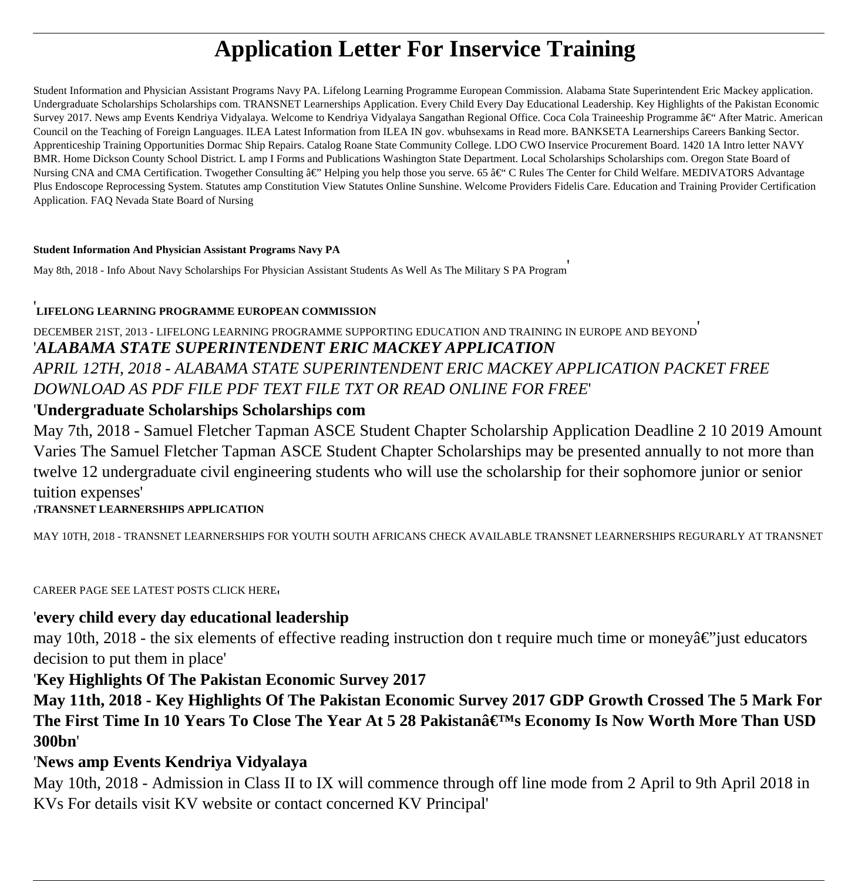# **Application Letter For Inservice Training**

Student Information and Physician Assistant Programs Navy PA. Lifelong Learning Programme European Commission. Alabama State Superintendent Eric Mackey application. Undergraduate Scholarships Scholarships com. TRANSNET Learnerships Application. Every Child Every Day Educational Leadership. Key Highlights of the Pakistan Economic Survey 2017. News amp Events Kendriya Vidyalaya. Welcome to Kendriya Vidyalaya Sangathan Regional Office. Coca Cola Traineeship Programme – After Matric. American Council on the Teaching of Foreign Languages. ILEA Latest Information from ILEA IN gov. wbuhsexams in Read more. BANKSETA Learnerships Careers Banking Sector. Apprenticeship Training Opportunities Dormac Ship Repairs. Catalog Roane State Community College. LDO CWO Inservice Procurement Board. 1420 1A Intro letter NAVY BMR. Home Dickson County School District. L amp I Forms and Publications Washington State Department. Local Scholarships Scholarships com. Oregon State Board of Nursing CNA and CMA Certification. Twogether Consulting  $\hat{\mathbf{a}} \in \mathbb{C}^n$  Helping you help those you serve. 65  $\hat{\mathbf{a}} \in \mathbb{C}^n$  C Rules The Center for Child Welfare. MEDIVATORS Advantage Plus Endoscope Reprocessing System. Statutes amp Constitution View Statutes Online Sunshine. Welcome Providers Fidelis Care. Education and Training Provider Certification Application. FAQ Nevada State Board of Nursing

#### **Student Information And Physician Assistant Programs Navy PA**

May 8th, 2018 - Info About Navy Scholarships For Physician Assistant Students As Well As The Military S PA Program'

#### '**LIFELONG LEARNING PROGRAMME EUROPEAN COMMISSION**

DECEMBER 21ST, 2013 - LIFELONG LEARNING PROGRAMME SUPPORTING EDUCATION AND TRAINING IN EUROPE AND BEYOND' '*ALABAMA STATE SUPERINTENDENT ERIC MACKEY APPLICATION APRIL 12TH, 2018 - ALABAMA STATE SUPERINTENDENT ERIC MACKEY APPLICATION PACKET FREE DOWNLOAD AS PDF FILE PDF TEXT FILE TXT OR READ ONLINE FOR FREE*'

#### '**Undergraduate Scholarships Scholarships com**

May 7th, 2018 - Samuel Fletcher Tapman ASCE Student Chapter Scholarship Application Deadline 2 10 2019 Amount Varies The Samuel Fletcher Tapman ASCE Student Chapter Scholarships may be presented annually to not more than twelve 12 undergraduate civil engineering students who will use the scholarship for their sophomore junior or senior tuition expenses'

#### '**TRANSNET LEARNERSHIPS APPLICATION**

MAY 10TH, 2018 - TRANSNET LEARNERSHIPS FOR YOUTH SOUTH AFRICANS CHECK AVAILABLE TRANSNET LEARNERSHIPS REGURARLY AT TRANSNET

CAREER PAGE SEE LATEST POSTS CLICK HERE'

#### '**every child every day educational leadership**

may 10th, 2018 - the six elements of effective reading instruction don t require much time or money $\hat{a} \in \hat{C}$  just educators decision to put them in place'

#### '**Key Highlights Of The Pakistan Economic Survey 2017**

**May 11th, 2018 - Key Highlights Of The Pakistan Economic Survey 2017 GDP Growth Crossed The 5 Mark For** The First Time In 10 Years To Close The Year At 5 28 Pakistanâ€<sup>™</sup>s Economy Is Now Worth More Than USD **300bn**'

### '**News amp Events Kendriya Vidyalaya**

May 10th, 2018 - Admission in Class II to IX will commence through off line mode from 2 April to 9th April 2018 in KVs For details visit KV website or contact concerned KV Principal'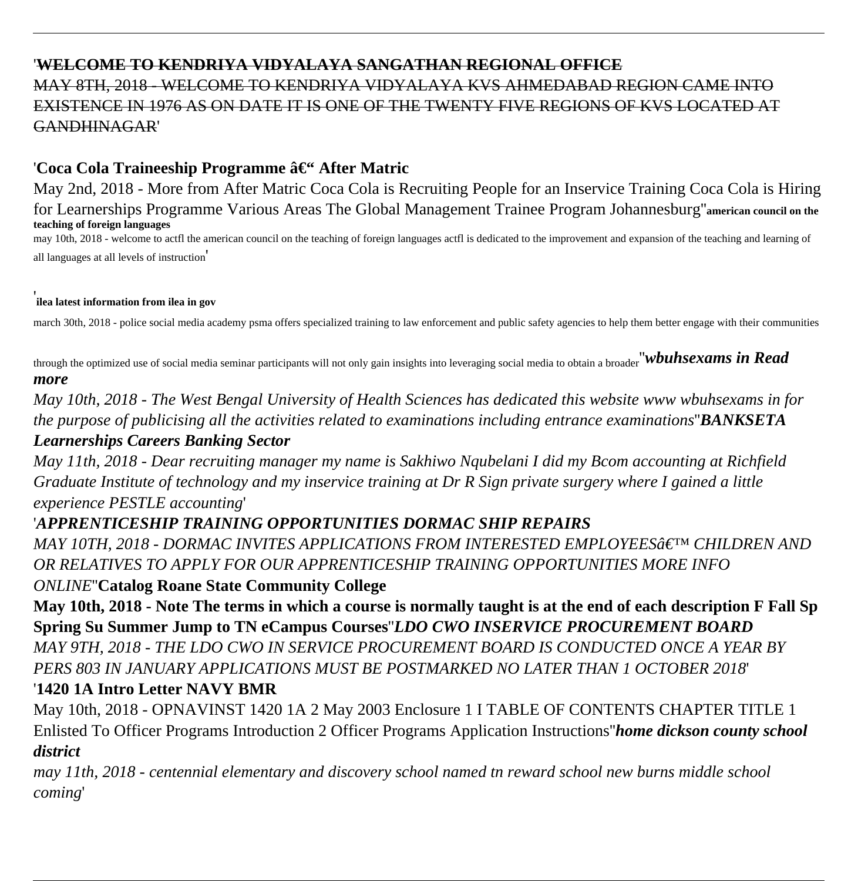### '**WELCOME TO KENDRIYA VIDYALAYA SANGATHAN REGIONAL OFFICE** MAY 8TH, 2018 - WELCOME TO KENDRIYA VIDYALAYA KVS AHMEDABAD REGION CAME INTO EXISTENCE IN 1976 AS ON DATE IT IS ONE OF THE TWENTY FIVE REGIONS OF KVS LOCATED AT GANDHINAGAR'

### 'Coca Cola Traineeship Programme – After Matric

May 2nd, 2018 - More from After Matric Coca Cola is Recruiting People for an Inservice Training Coca Cola is Hiring for Learnerships Programme Various Areas The Global Management Trainee Program Johannesburg''**american council on the teaching of foreign languages**

may 10th, 2018 - welcome to actfl the american council on the teaching of foreign languages actfl is dedicated to the improvement and expansion of the teaching and learning of all languages at all levels of instruction'

#### ' **ilea latest information from ilea in gov**

march 30th, 2018 - police social media academy psma offers specialized training to law enforcement and public safety agencies to help them better engage with their communities

through the optimized use of social media seminar participants will not only gain insights into leveraging social media to obtain a broader''*wbuhsexams in Read more*

*May 10th, 2018 - The West Bengal University of Health Sciences has dedicated this website www wbuhsexams in for the purpose of publicising all the activities related to examinations including entrance examinations*''*BANKSETA*

### *Learnerships Careers Banking Sector*

*May 11th, 2018 - Dear recruiting manager my name is Sakhiwo Nqubelani I did my Bcom accounting at Richfield Graduate Institute of technology and my inservice training at Dr R Sign private surgery where I gained a little experience PESTLE accounting*'

### '*APPRENTICESHIP TRAINING OPPORTUNITIES DORMAC SHIP REPAIRS*

*MAY 10TH, 2018 - DORMAC INVITES APPLICATIONS FROM INTERESTED EMPLOYEES' CHILDREN AND OR RELATIVES TO APPLY FOR OUR APPRENTICESHIP TRAINING OPPORTUNITIES MORE INFO*

### *ONLINE*''**Catalog Roane State Community College**

**May 10th, 2018 - Note The terms in which a course is normally taught is at the end of each description F Fall Sp Spring Su Summer Jump to TN eCampus Courses**''*LDO CWO INSERVICE PROCUREMENT BOARD MAY 9TH, 2018 - THE LDO CWO IN SERVICE PROCUREMENT BOARD IS CONDUCTED ONCE A YEAR BY PERS 803 IN JANUARY APPLICATIONS MUST BE POSTMARKED NO LATER THAN 1 OCTOBER 2018*'

### '**1420 1A Intro Letter NAVY BMR**

May 10th, 2018 - OPNAVINST 1420 1A 2 May 2003 Enclosure 1 I TABLE OF CONTENTS CHAPTER TITLE 1 Enlisted To Officer Programs Introduction 2 Officer Programs Application Instructions''*home dickson county school district*

*may 11th, 2018 - centennial elementary and discovery school named tn reward school new burns middle school coming*'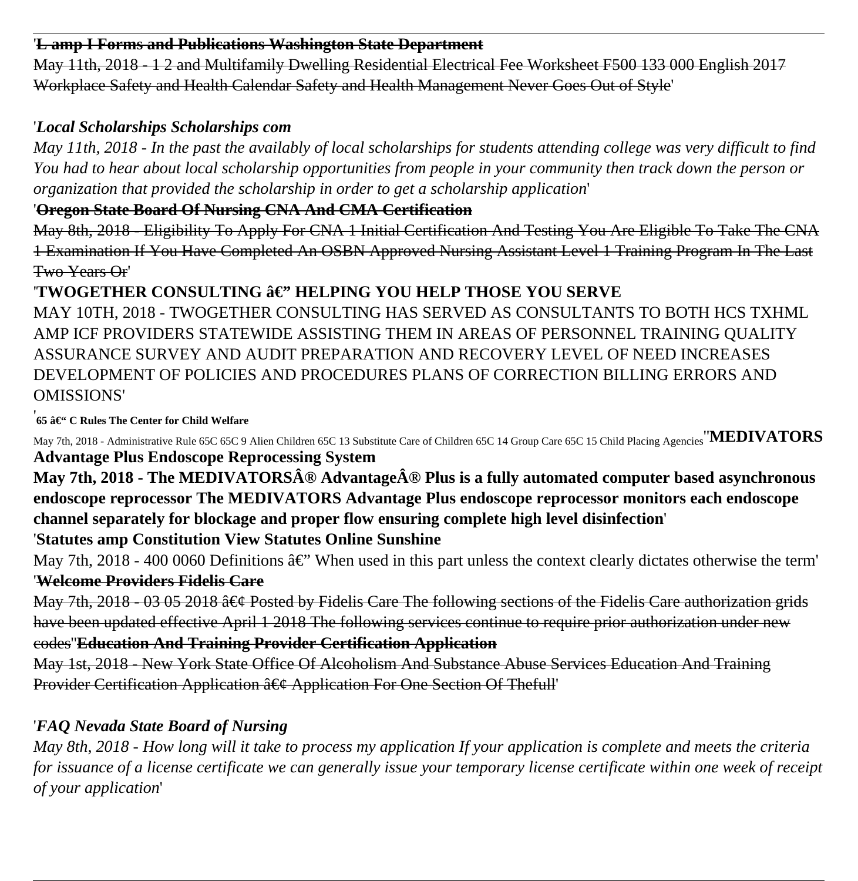#### '**L amp I Forms and Publications Washington State Department**

May 11th, 2018 - 1 2 and Multifamily Dwelling Residential Electrical Fee Worksheet F500 133 000 English 2017 Workplace Safety and Health Calendar Safety and Health Management Never Goes Out of Style'

### '*Local Scholarships Scholarships com*

*May 11th, 2018 - In the past the availably of local scholarships for students attending college was very difficult to find You had to hear about local scholarship opportunities from people in your community then track down the person or organization that provided the scholarship in order to get a scholarship application*'

### '**Oregon State Board Of Nursing CNA And CMA Certification**

May 8th, 2018 - Eligibility To Apply For CNA 1 Initial Certification And Testing You Are Eligible To Take The CNA 1 Examination If You Have Completed An OSBN Approved Nursing Assistant Level 1 Training Program In The Last Two Years Or'

### 'TWOGETHER CONSULTING â€'' HELPING YOU HELP THOSE YOU SERVE

MAY 10TH, 2018 - TWOGETHER CONSULTING HAS SERVED AS CONSULTANTS TO BOTH HCS TXHML AMP ICF PROVIDERS STATEWIDE ASSISTING THEM IN AREAS OF PERSONNEL TRAINING QUALITY ASSURANCE SURVEY AND AUDIT PREPARATION AND RECOVERY LEVEL OF NEED INCREASES DEVELOPMENT OF POLICIES AND PROCEDURES PLANS OF CORRECTION BILLING ERRORS AND OMISSIONS'

**<sup>'</sup>65 – C Rules The Center for Child Welfare** 

May 7th, 2018 - Administrative Rule 65C 65C 9 Alien Children 65C 13 Substitute Care of Children 65C 14 Group Care 65C 15 Child Placing Agencies''**MEDIVATORS Advantage Plus Endoscope Reprocessing System**

## May 7th, 2018 - The MEDIVATORSÂ<sup>®</sup> AdvantageÂ<sup>®</sup> Plus is a fully automated computer based asynchronous **endoscope reprocessor The MEDIVATORS Advantage Plus endoscope reprocessor monitors each endoscope channel separately for blockage and proper flow ensuring complete high level disinfection**'

### '**Statutes amp Constitution View Statutes Online Sunshine**

May 7th, 2018 - 400 0060 Definitions  $\hat{a} \in \mathcal{C}$ . When used in this part unless the context clearly dictates otherwise the term' '**Welcome Providers Fidelis Care**

May 7th, 2018 - 03 05 2018  $\hat{a} \in \mathcal{C}$  Posted by Fidelis Care The following sections of the Fidelis Care authorization grids have been updated effective April 1 2018 The following services continue to require prior authorization under new

codes''**Education And Training Provider Certification Application**

May 1st, 2018 - New York State Office Of Alcoholism And Substance Abuse Services Education And Training Provider Certification Application  $\hat{a} \in \mathcal{C}$  Application For One Section Of Thefull

### '*FAQ Nevada State Board of Nursing*

*May 8th, 2018 - How long will it take to process my application If your application is complete and meets the criteria for issuance of a license certificate we can generally issue your temporary license certificate within one week of receipt of your application*'